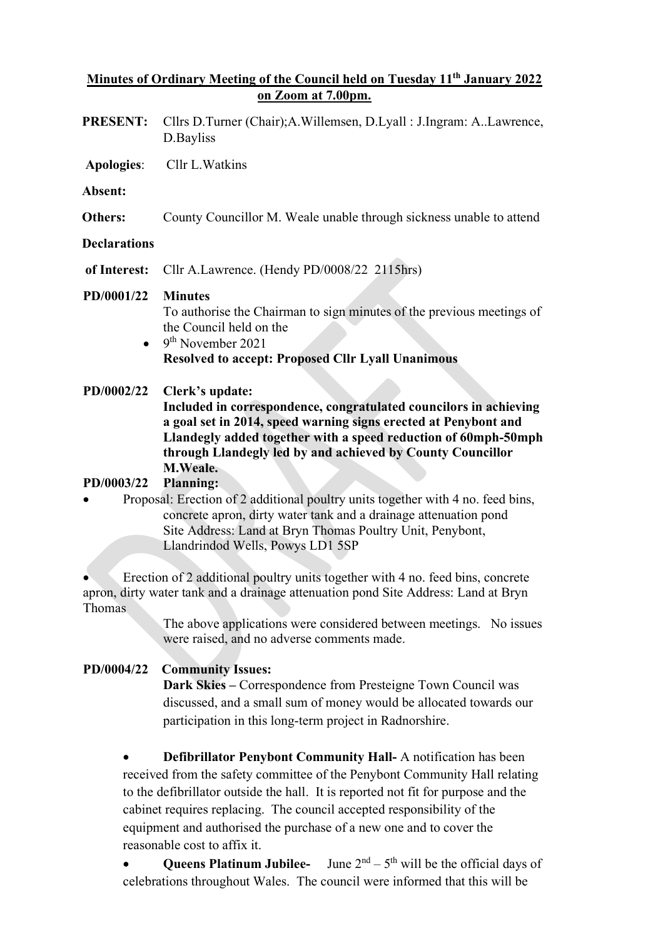### **Minutes of Ordinary Meeting of the Council held on Tuesday 11th January 2022 on Zoom at 7.00pm.**

**PRESENT:** Cllrs D.Turner (Chair);A.Willemsen, D.Lyall : J.Ingram: A..Lawrence, D.Bayliss **Apologies**: Cllr L.Watkins **Absent: Others:** County Councillor M. Weale unable through sickness unable to attend **Declarations of Interest:** Cllr A.Lawrence. (Hendy PD/0008/22 2115hrs) **PD/0001/22 Minutes** To authorise the Chairman to sign minutes of the previous meetings of the Council held on the  $\bullet$  9<sup>th</sup> November 2021 **Resolved to accept: Proposed Cllr Lyall Unanimous PD/0002/22 Clerk's update: Included in correspondence, congratulated councilors in achieving a goal set in 2014, speed warning signs erected at Penybont and Llandegly added together with a speed reduction of 60mph-50mph through Llandegly led by and achieved by County Councillor M.Weale.** 

# **PD/0003/22 Planning:**

• Proposal: Erection of 2 additional poultry units together with 4 no. feed bins, concrete apron, dirty water tank and a drainage attenuation pond Site Address: Land at Bryn Thomas Poultry Unit, Penybont, Llandrindod Wells, Powys LD1 5SP

• Erection of 2 additional poultry units together with 4 no. feed bins, concrete apron, dirty water tank and a drainage attenuation pond Site Address: Land at Bryn Thomas

> The above applications were considered between meetings. No issues were raised, and no adverse comments made.

# **PD/0004/22 Community Issues:**

**Dark Skies –** Correspondence from Presteigne Town Council was discussed, and a small sum of money would be allocated towards our participation in this long-term project in Radnorshire.

• **Defibrillator Penybont Community Hall-** A notification has been received from the safety committee of the Penybont Community Hall relating to the defibrillator outside the hall. It is reported not fit for purpose and the cabinet requires replacing. The council accepted responsibility of the equipment and authorised the purchase of a new one and to cover the reasonable cost to affix it.

**Queens Platinum Jubilee-** June  $2<sup>nd</sup> - 5<sup>th</sup>$  will be the official days of celebrations throughout Wales. The council were informed that this will be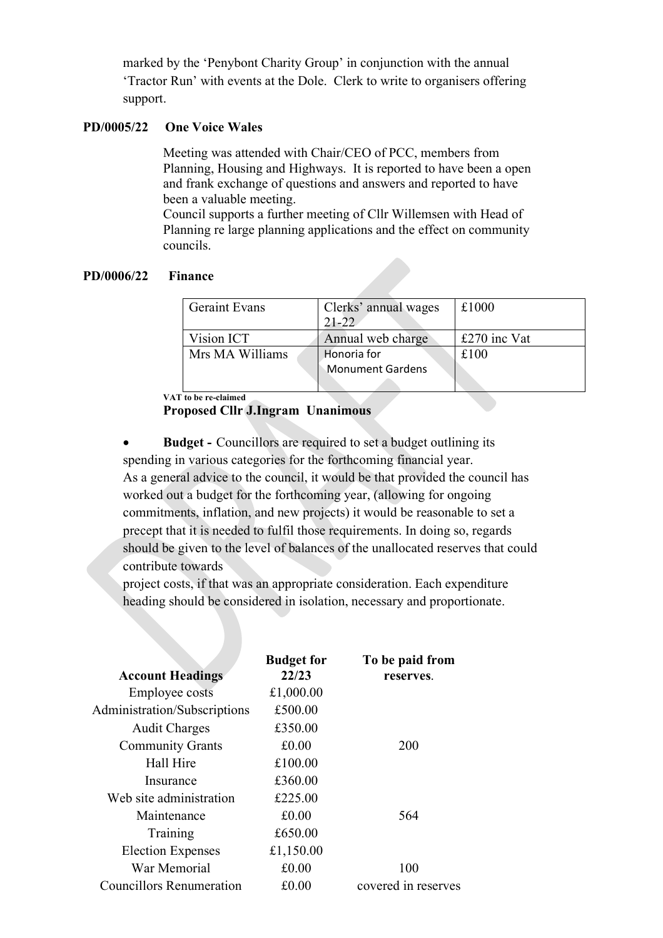marked by the 'Penybont Charity Group' in conjunction with the annual 'Tractor Run' with events at the Dole. Clerk to write to organisers offering support.

### **PD/0005/22 One Voice Wales**

Meeting was attended with Chair/CEO of PCC, members from Planning, Housing and Highways. It is reported to have been a open and frank exchange of questions and answers and reported to have been a valuable meeting.

Council supports a further meeting of Cllr Willemsen with Head of Planning re large planning applications and the effect on community councils.

#### **PD/0006/22 Finance**

| <b>Geraint Evans</b> | Clerks' annual wages<br>21-22 | £1000        |
|----------------------|-------------------------------|--------------|
| Vision ICT           | Annual web charge             | £270 inc Vat |
| Mrs MA Williams      | Honoria for                   | £100         |
|                      | <b>Monument Gardens</b>       |              |
|                      |                               |              |

**VAT to be re-claimed**

### **Proposed Cllr J.Ingram Unanimous**

• **Budget -** Councillors are required to set a budget outlining its spending in various categories for the forthcoming financial year. As a general advice to the council, it would be that provided the council has worked out a budget for the forthcoming year, (allowing for ongoing commitments, inflation, and new projects) it would be reasonable to set a precept that it is needed to fulfil those requirements. In doing so, regards should be given to the level of balances of the unallocated reserves that could contribute towards

project costs, if that was an appropriate consideration. Each expenditure heading should be considered in isolation, necessary and proportionate.

| <b>Account Headings</b>         | <b>Budget for</b><br>22/23 | To be paid from<br>reserves. |
|---------------------------------|----------------------------|------------------------------|
| <b>Employee costs</b>           | £1,000.00                  |                              |
| Administration/Subscriptions    | £500.00                    |                              |
| <b>Audit Charges</b>            | £350.00                    |                              |
| <b>Community Grants</b>         | £0.00                      | 200                          |
| Hall Hire                       | £100.00                    |                              |
| Insurance                       | £360.00                    |                              |
| Web site administration         | £225.00                    |                              |
| Maintenance                     | £0.00                      | 564                          |
| Training                        | £650.00                    |                              |
| <b>Election Expenses</b>        | £1,150.00                  |                              |
| War Memorial                    | £0.00                      | 100                          |
| <b>Councillors Renumeration</b> | £0.00                      | covered in reserves          |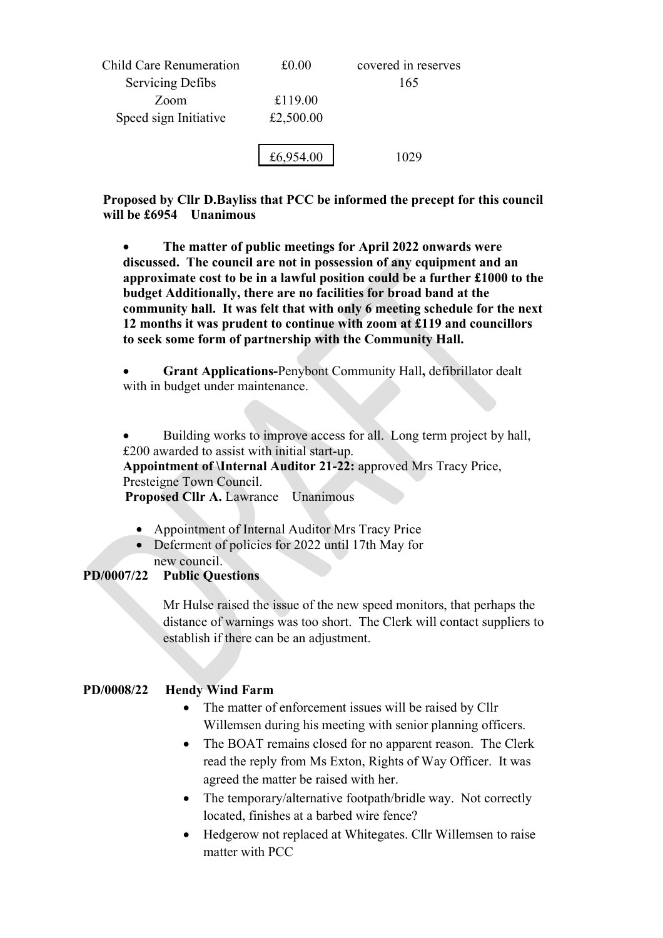| Child Care Renumeration | £0.00     | covered in reserves |
|-------------------------|-----------|---------------------|
| <b>Servicing Defibs</b> |           | 165                 |
| Zoom                    | £119.00   |                     |
| Speed sign Initiative   | £2,500.00 |                     |
|                         | £6,954.00 | 1029                |

**Proposed by Cllr D.Bayliss that PCC be informed the precept for this council will be £6954 Unanimous**

• **The matter of public meetings for April 2022 onwards were discussed. The council are not in possession of any equipment and an approximate cost to be in a lawful position could be a further £1000 to the budget Additionally, there are no facilities for broad band at the community hall. It was felt that with only 6 meeting schedule for the next 12 months it was prudent to continue with zoom at £119 and councillors to seek some form of partnership with the Community Hall.**

• **Grant Applications-**Penybont Community Hall**,** defibrillator dealt with in budget under maintenance.

• Building works to improve access for all. Long term project by hall, £200 awarded to assist with initial start-up.

**Appointment of \Internal Auditor 21-22:** approved Mrs Tracy Price, Presteigne Town Council.

**Proposed Cllr A.** Lawrance Unanimous

- Appointment of Internal Auditor Mrs Tracy Price
- Deferment of policies for 2022 until 17th May for new council.

# **PD/0007/22 Public Questions**

Mr Hulse raised the issue of the new speed monitors, that perhaps the distance of warnings was too short. The Clerk will contact suppliers to establish if there can be an adjustment.

# **PD/0008/22 Hendy Wind Farm**

- The matter of enforcement issues will be raised by Cllr Willemsen during his meeting with senior planning officers.
- The BOAT remains closed for no apparent reason. The Clerk read the reply from Ms Exton, Rights of Way Officer. It was agreed the matter be raised with her.
- The temporary/alternative footpath/bridle way. Not correctly located, finishes at a barbed wire fence?
- Hedgerow not replaced at Whitegates. Cllr Willemsen to raise matter with PCC